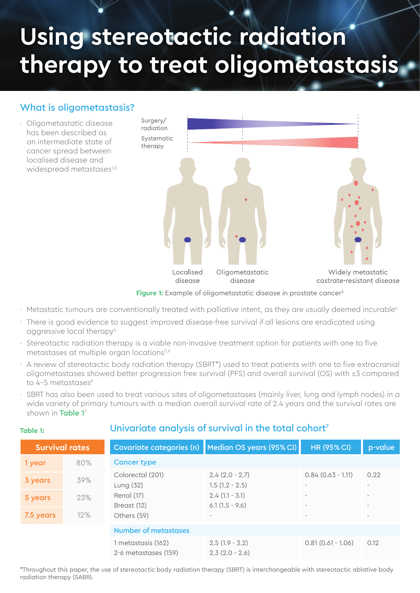# **Using stereotactic radiation therapy to treat oligometastasis**

#### What is oligometastasis?

Oligometastatic disease · has been described as an intermediate state of cancer spread between localised disease and widespread metastases<sup>1,2</sup>



**Figure 1:** Example of oligometastatic disease in prostate cancer<sup>3</sup>

- $\cdot$  Metastatic tumours are conventionally treated with palliative intent, as they are usually deemed incurable<sup>4</sup>
- There is good evidence to suggest improved disease-free survival if all lesions are eradicated using · aggressive local therapy<sup>4</sup>
- $\cdot$  Stereotactic radiation therapy is a viable non-invasive treatment option for patients with one to five metastases at multiple organ locations<sup>5,6</sup>
- A review of stereotactic body radiation therapy (SBRT\*) used to treat patients with one to five extracranial · oligometastases showed better progression free survival (PFS) and overall survival (OS) with ≤3 compared to 4-5 metastases<sup>6</sup>
- SBRT has also been used to treat various sites of oligometastases (mainly liver, lung and lymph nodes) in a wide variety of primary tumours with a median overall survival rate of 2.4 years and the survival rates are shown in Table 1<sup>7</sup> ·

| Survival rates |     |                                            | Covariate categories (n) Median OS years (95% CI) | <b>HR (95% CI)</b>                                   | p-value                                              |  |
|----------------|-----|--------------------------------------------|---------------------------------------------------|------------------------------------------------------|------------------------------------------------------|--|
| 1 year         | 80% | <b>Cancer type</b>                         |                                                   |                                                      |                                                      |  |
| 3 years        | 39% | Colorectal (201)<br>Lung $(32)$            | $2.4(2.0 - 2.7)$<br>$1.5(1.2 - 2.5)$              | $0.84(0.63 - 1.11)$<br>$\overline{\phantom{a}}$      | 0.22<br>$\overline{\phantom{a}}$                     |  |
| 5 years        | 23% | Renal (17)                                 | $2.4(1.1 - 3.1)$                                  | $\overline{\phantom{a}}$                             | $\overline{\phantom{a}}$                             |  |
| 7.5 years      | 12% | Breast (12)<br>Others (59)                 | $6.1(1.5 - 9.6)$<br>$\overline{\phantom{a}}$      | $\overline{\phantom{a}}$<br>$\overline{\phantom{a}}$ | $\overline{\phantom{a}}$<br>$\overline{\phantom{a}}$ |  |
|                |     | <b>Number of metastases</b>                |                                                   |                                                      |                                                      |  |
|                |     | 1 metastasis (162)<br>2-6 metastases (159) | $2.5(1.9 - 3.2)$<br>$2.3(2.0 - 2.6)$              | $0.81(0.61 - 1.06)$                                  | 0.12                                                 |  |

#### Univariate analysis of survival in the total cohort<sup>7</sup>

\*Throughout this paper, the use of stereotactic body radiation therapy (SBRT) is interchangeable with stereotactic ablative body radiation therapy (SABR).

#### **Table 1:**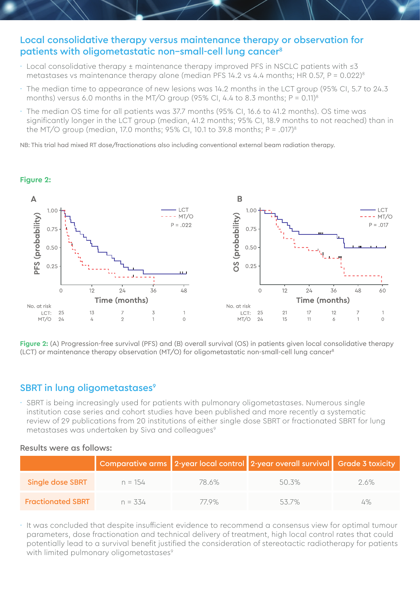#### Local consolidative therapy versus maintenance therapy or observation for patients with oligometastatic non-small-cell lung cancer<sup>8</sup>

- Local consolidative therapy ± maintenance therapy improved PFS in NSCLC patients with ≤3 · metastases vs maintenance therapy alone (median PFS 14.2 vs 4.4 months; HR 0.57, P =  $0.022$ )<sup>8</sup>
- The median time to appearance of new lesions was 14.2 months in the LCT group (95% CI, 5.7 to 24.3 months) versus 6.0 months in the MT/O group (95% CI, 4.4 to 8.3 months;  $P = 0.11$ )<sup>8</sup> ·
- The median OS time for all patients was 37.7 months (95% CI, 16.6 to 41.2 months). OS time was · significantly longer in the LCT group (median, 41.2 months; 95% CI, 18.9 months to not reached) than in the MT/O group (median, 17.0 months; 95% CI, 10.1 to 39.8 months;  $P = .017$ <sup>8</sup>

NB: This trial had mixed RT dose/fractionations also including conventional external beam radiation therapy.

# **Figure 2:**



**Figure 2:** (A) Progression-free survival (PFS) and (B) overall survival (OS) in patients given local consolidative therapy (LCT) or maintenance therapy observation (MT/O) for oligometastatic non-small-cell lung cancer<sup>8</sup>

#### SBRT in lung oligometastases<sup>9</sup>

 $\cdot$  SBRT is being increasingly used for patients with pulmonary oligometastases. Numerous single institution case series and cohort studies have been published and more recently a systematic review of 29 publications from 20 institutions of either single dose SBRT or fractionated SBRT for lung metastases was undertaken by Siva and colleagues<sup>9</sup>

#### Results were as follows:

|                          |            |       | Comparative arms 2-year local control 2-year overall survival Grade 3 toxicity |     |
|--------------------------|------------|-------|--------------------------------------------------------------------------------|-----|
| Single dose SBRT         | $n = 154$  | 78.6% | 50.3%                                                                          | 26% |
| <b>Fractionated SBRT</b> | $n = 0.54$ | 77 9% | 537%                                                                           | 4%  |

 $\cdot$  It was concluded that despite insufficient evidence to recommend a consensus view for optimal tumour parameters, dose fractionation and technical delivery of treatment, high local control rates that could potentially lead to a survival benefit justified the consideration of stereotactic radiotherapy for patients with limited pulmonary oligometastases<sup>9</sup>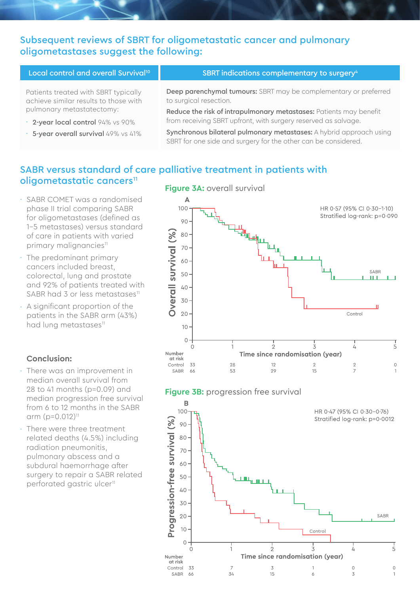#### Subsequent reviews of SBRT for oligometastatic cancer and pulmonary oligometastases suggest the following:

| Local control and overall Survival <sup>10</sup>                              | SBRT indications complementary to surgery <sup>4</sup>                                                                                |
|-------------------------------------------------------------------------------|---------------------------------------------------------------------------------------------------------------------------------------|
| Patients treated with SBRT typically<br>achieve similar results to those with | Deep parenchymal tumours: SBRT may be complementary or preferred<br>to surgical resection.                                            |
| pulmonary metastatectomy:                                                     | Reduce the risk of intrapulmonary metastases: Patients may benefit                                                                    |
| · 2-year local control 94% vs 90%                                             | from receiving SBRT upfront, with surgery reserved as salvage.                                                                        |
| · 5-year overall survival 49% vs 41%                                          | Synchronous bilateral pulmonary metastases: A hybrid approach using<br>SBRT for one side and surgery for the other can be considered. |

## SABR versus standard of care palliative treatment in patients with oligometastatic cancers<sup>11</sup>

Number at risk Control 33

SABR 66

- SABR COMET was a randomised · phase II trial comparing SABR for oligometastases (defined as 1-5 metastases) versus standard of care in patients with varied primary malignancies<sup>11</sup>
- The predominant primary · cancers included breast, colorectal, lung and prostate and 92% of patients treated with SABR had 3 or less metastases<sup>11</sup>
- A significant proportion of the · patients in the SABR arm (43%) had lung metastases<sup>11</sup>

#### **Conclusion:**

- There was an improvement in median overall survival from 28 to 41 months (p=0.09) and median progression free survival from 6 to 12 months in the SABR arm  $(p=0.012)^{11}$ ·
- There were three treatment related deaths (4.5%) including radiation pneumonitis, pulmonary abscess and a subdural haemorrhage after surgery to repair a SABR related perforated gastric ulcer<sup>11</sup> ·





Time since randomisation (year)

 $\delta$ 

 $\overline{3}$ 

 $15$ 

34

5

 $\circ$ 

 $\overline{1}$ 

 $\circ$ 

 $\overline{3}$